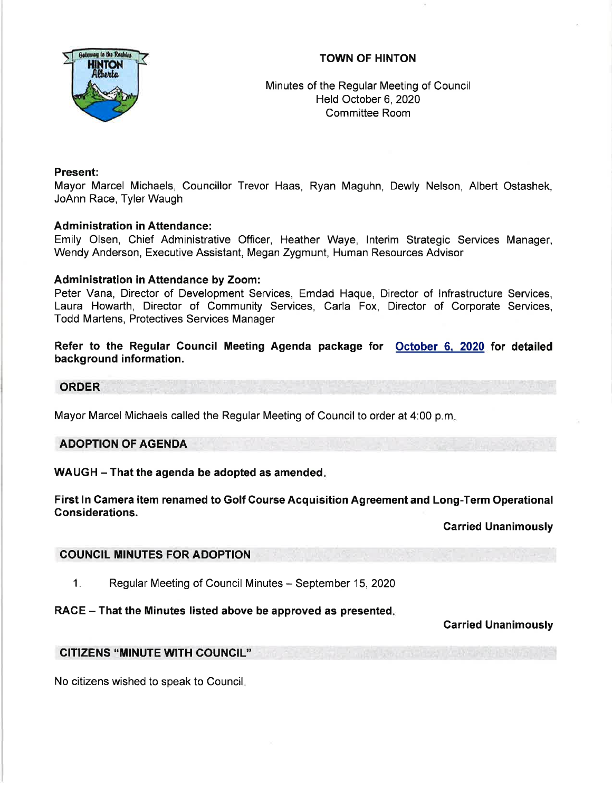## TOWN OF HINTON



Minutes of the Regular Meeting of Council Held October 6,2020 Committee Room

### Present:

Mayor Marcel Michaels, Councillor Trevor Haas, Ryan Maguhn, Dewly Nelson, Albert Ostashek, JoAnn Race, Tyler Waugh

## Administration in Attendance:

Emily Olsen, Chief Administrative Officer, Heather Waye, lnterim Strategic Services Manager, Wendy Anderson, Executive Assistant, Megan Zygmunt, Human Resources Advisor

## Administration in Attendance by Zoom:

Peter Vana, Director of Development Services, Emdad Haque, Director of lnfrastructure Services, Laura Howarth, Director of Community Services, Carla Fox, Director of Corporate Services, Todd Martens, Protectives Services Manager

Refer to the Regular Council Meeting Agenda package for October 6, 2020 for detailed background information.

### ORDER

Mayor Marcel Michaels called the Regular Meeting of Council to order at 4:00 p.m

### ADOPTION OF AGENDA

WAUGH - That the agenda be adopted as amended.

First In Camera item renamed to Golf Course Acquisition Agreement and Long-Term Operational Considerations.

**Carried Unanimously** 

### COUNCIL MINUTES FOR ADOPTION

1. Regular Meeting of Council Minutes - September 15, 2020

# RACE - That the Minutes listed above be approved as presented.

# Carried Unanimously

### CITIZENS "MINUTE WITH COUNCIL"

No citizens wished to speak to Council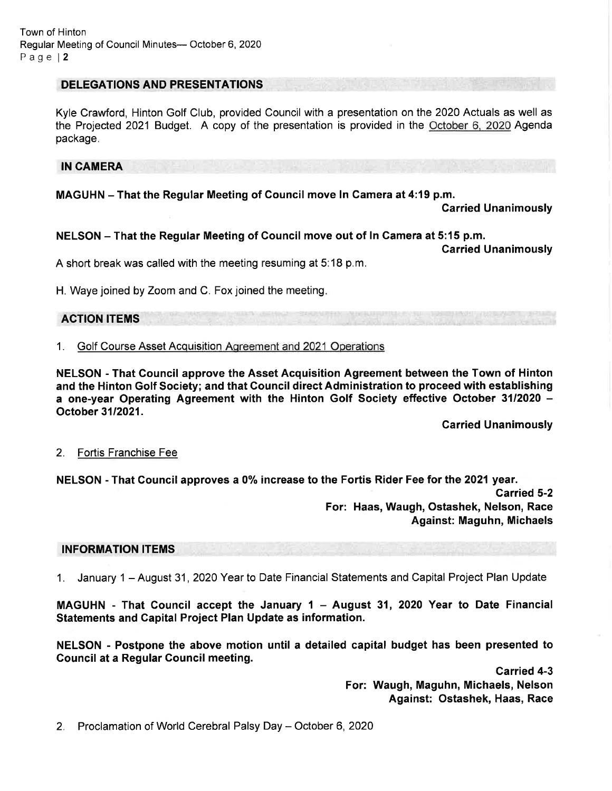## DELEGATIONS AND PRESENTATIONS

Kyle Crawford, Hinton Golf Club, provided Council with a presentation on the 2020 Actuals as well as the Projected 2021 Budget. A copy of the presentation is provided in the October 6, 2020 Agenda package.

IN CAMERA

MAGUHN - That the Regular Meeting of Gouncil move In Camera at 4:19 p.m.

Carried Unanimously

Garried Unanimously

NELSON - That the Regular Meeting of Council move out of In Camera at 5:15 p.m.

A short break was called with the meeting resuming at 5:18 p.m.

H. Waye joined by Zoom and C. Fox joined the meeting

# ACTION ITEMS

1. Golf Course Asset Acquisition Agreement and 2Q21 Operations

NELSON - That Gouncil approve the Asset Acquisition Agreement between the Town of Hinton and the Hinton Golf Society; and that Gouncil direct Administration to proceed with establishing a one-year Operating Agreement with the Hinton Golf Society effective October 31/2020 -October 3112021.

Carried Unanimously

# 2. Fortis Franchise Fee

NELSON - That Gouncil approves a 0% increase to the Fortis Rider Fee for the 2021 year. Carried 5-2 For: Haas, Waugh, Ostashek, Nelson, Race Against: Maguhn, Michaels

## INFORMATION ITEMS

1. January 1 – August 31, 2020 Year to Date Financial Statements and Capital Project Plan Update

MAGUHN - That Council accept the January  $1 -$  August 31, 2020 Year to Date Financial Statements and Capital Project Plan Update as information.

NELSON - Postpone the above motion until a detailed capital budget has been presented to Council at a Regular Council meeting.

> Carried 4-3 For: Waugh, Maguhn, Michaels, Nelson Against: Ostashek, Haas, Race

2. Proclamation of World Cerebral Palsy Day - October 6, 2020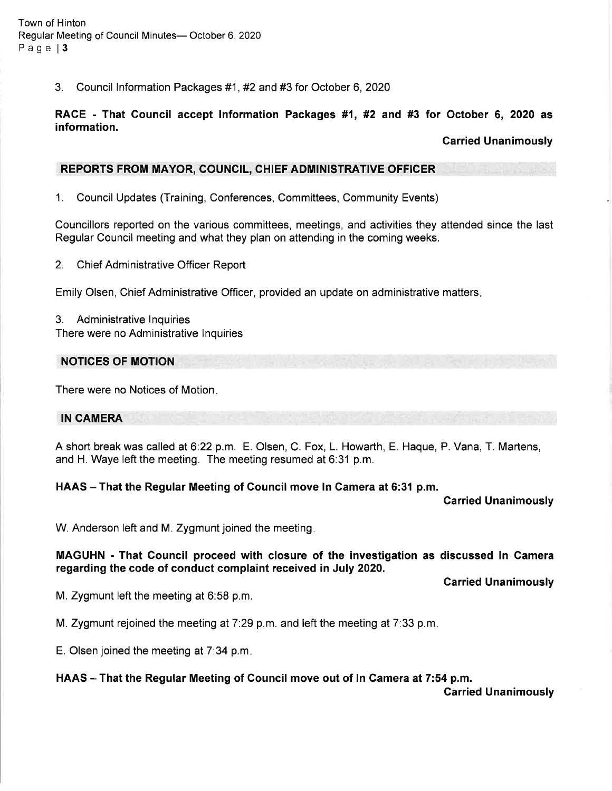3. Council lnformation Packages #1 , #2 and #3 for October 6, 2020

## RACE - That Council accept Information Packages #1, #2 and #3 for October 6, 2020 as information.

Carried Unanimously

# REPORTS FROM MAYOR, COUNCIL, CHIEF ADMINISTRATIVE OFFICER

1. Council Updates (Training, Conferences, Committees, Community Events)

Councillors reported on the various committees, meetings, and activities they attended since the last Regular Council meeting and what they plan on attending in the coming weeks.

2. Chief Administrative Officer Report

Emily Olsen, Chief Administrative Officer, provided an update on administrative matters

3. Administrative lnquiries There were no Administrative lnquiries

### NOTICES OF MOTION

There were no Notices of Motion

### IN CAMERA

A short break was called at 6:22 p.m. E. Olsen, C. Fox, L. Howarth, E. Haque, P. Vana, T. Martens, and H. Waye left the meeting. The meeting resumed at 6:31 p.m.

### HAAS - That the Regular Meeting of Council move In Camera at 6:31 p.m.

Garried Unanimously

W. Anderson left and M. Zygmunt joined the meeting.

# MAGUHN - That Council proceed with closure of the investigation as discussed ln Camera regarding the code of conduct complaint received in July 2020.

Garried Unanimously

M. Zygmunt left the meeting at 6:58 p.m.

M. Zygmunt rejoined the meeting at  $7:29$  p.m. and left the meeting at  $7:33$  p.m.

E. Olsen joined the meeting at 7:34 p.m

### HAAS – That the Regular Meeting of Council move out of In Camera at 7:54 p.m.

Garried Unanimously